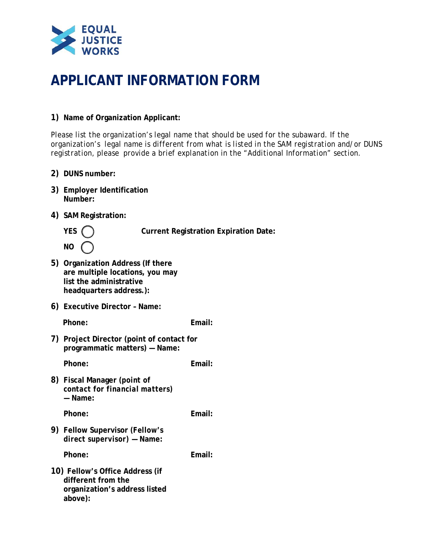

## **APPLICANT INFORMATION FORM**

## **1) Name of Organization Applicant:**

*Please list the organization's legal name that should be used for the subaward. If the organization's legal name is different from what is listed in the SAM registration and/or DUNS registration, please provide a brief explanation in the "Additional Information" section.*

- **2) DUNS number:**
- **3) Employer Identification Number:**
- **4) SAM Registration:**



**YES Current Registration Expiration Date:**

- **5) Organization Address (If there are multiple locations, you may list the administrative headquarters address.):**
- **6) Executive Director Name:**

Phone: Email:

**7) Project Director (point of contact for programmatic matters) — Name:**

Phone: Email:

**8) Fiscal Manager** *(point of contact for financial matters)*  **— Name:** 

Phone: **Email:** Email:

**9) Fellow Supervisor** *(Fellow's direct supervisor)* **— Name:** 

Phone: Email:

**10) Fellow's Office Address (if different from the organization's address listed above):**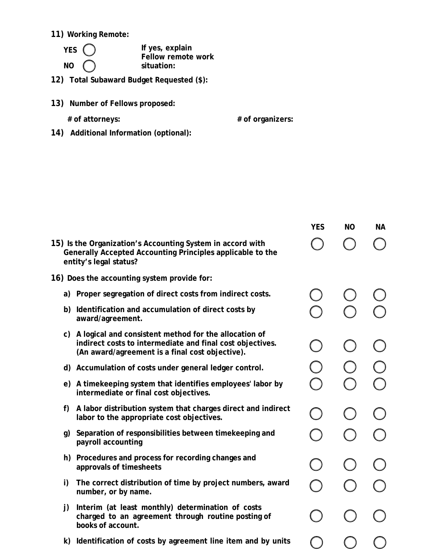## **11) Working Remote:**

| <b>YES</b> |  |
|------------|--|
| <b>NO</b>  |  |

**YES If yes, explain Fellow remote work**  situation:

- **12) Total Subaward Budget Requested (\$):**
- **13) Number of Fellows proposed:**

**# of attorneys: # of organizers:**

**14) Additional Information (optional):**

|                                                                                                                                                    |                                                                                                                                                                       | <b>YES</b> | <b>NO</b> | <b>NA</b> |
|----------------------------------------------------------------------------------------------------------------------------------------------------|-----------------------------------------------------------------------------------------------------------------------------------------------------------------------|------------|-----------|-----------|
| 15) Is the Organization's Accounting System in accord with<br>Generally Accepted Accounting Principles applicable to the<br>entity's legal status? |                                                                                                                                                                       |            |           |           |
|                                                                                                                                                    | 16) Does the accounting system provide for:                                                                                                                           |            |           |           |
|                                                                                                                                                    | a) Proper segregation of direct costs from indirect costs.                                                                                                            |            |           |           |
|                                                                                                                                                    | b) Identification and accumulation of direct costs by<br>award/agreement.                                                                                             |            |           |           |
| C)                                                                                                                                                 | A logical and consistent method for the allocation of<br>indirect costs to intermediate and final cost objectives.<br>(An award/agreement is a final cost objective). |            |           |           |
| d)                                                                                                                                                 | Accumulation of costs under general ledger control.                                                                                                                   |            |           |           |
|                                                                                                                                                    | e) A timekeeping system that identifies employees' labor by<br>intermediate or final cost objectives.                                                                 |            |           |           |
| f)                                                                                                                                                 | A labor distribution system that charges direct and indirect<br>labor to the appropriate cost objectives.                                                             |            |           |           |
| g)                                                                                                                                                 | Separation of responsibilities between timekeeping and<br>payroll accounting                                                                                          |            |           |           |
|                                                                                                                                                    | h) Procedures and process for recording changes and<br>approvals of timesheets                                                                                        |            |           |           |
| i)                                                                                                                                                 | The correct distribution of time by project numbers, award<br>number, or by name.                                                                                     |            |           |           |
| j)                                                                                                                                                 | Interim (at least monthly) determination of costs<br>charged to an agreement through routine posting of<br>books of account.                                          |            |           |           |
|                                                                                                                                                    | k) Identification of costs by agreement line item and by units                                                                                                        |            |           |           |